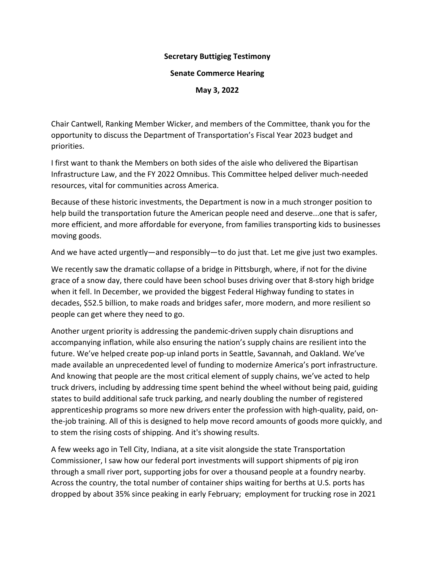## **Secretary Buttigieg Testimony**

## **Senate Commerce Hearing**

**May 3, 2022**

Chair Cantwell, Ranking Member Wicker, and members of the Committee, thank you for the opportunity to discuss the Department of Transportation's Fiscal Year 2023 budget and priorities.

I first want to thank the Members on both sides of the aisle who delivered the Bipartisan Infrastructure Law, and the FY 2022 Omnibus. This Committee helped deliver much-needed resources, vital for communities across America.

Because of these historic investments, the Department is now in a much stronger position to help build the transportation future the American people need and deserve...one that is safer, more efficient, and more affordable for everyone, from families transporting kids to businesses moving goods.

And we have acted urgently—and responsibly—to do just that. Let me give just two examples.

We recently saw the dramatic collapse of a bridge in Pittsburgh, where, if not for the divine grace of a snow day, there could have been school buses driving over that 8-story high bridge when it fell. In December, we provided the biggest Federal Highway funding to states in decades, \$52.5 billion, to make roads and bridges safer, more modern, and more resilient so people can get where they need to go.

Another urgent priority is addressing the pandemic-driven supply chain disruptions and accompanying inflation, while also ensuring the nation's supply chains are resilient into the future. We've helped create pop-up inland ports in Seattle, Savannah, and Oakland. We've made available an unprecedented level of funding to modernize America's port infrastructure. And knowing that people are the most critical element of supply chains, we've acted to help truck drivers, including by addressing time spent behind the wheel without being paid, guiding states to build additional safe truck parking, and nearly doubling the number of registered apprenticeship programs so more new drivers enter the profession with high-quality, paid, onthe-job training. All of this is designed to help move record amounts of goods more quickly, and to stem the rising costs of shipping. And it's showing results.

A few weeks ago in Tell City, Indiana, at a site visit alongside the state Transportation Commissioner, I saw how our federal port investments will support shipments of pig iron through a small river port, supporting jobs for over a thousand people at a foundry nearby. Across the country, the total number of container ships waiting for berths at U.S. ports has dropped by about 35% since peaking in early February; employment for trucking rose in 2021